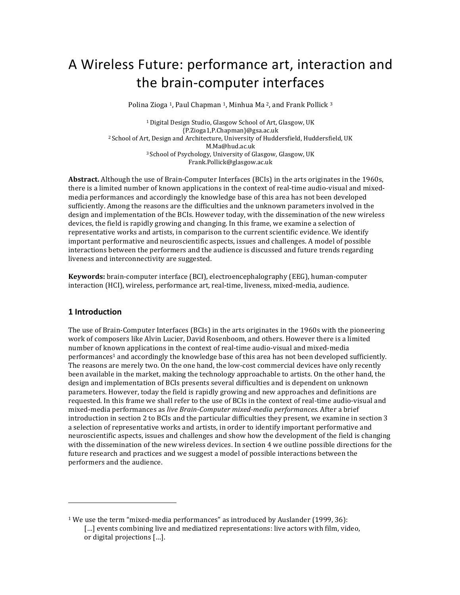# A Wireless Future: performance art, interaction and the brain-computer interfaces

Polina Zioga<sup>1</sup>, Paul Chapman<sup>1</sup>, Minhua Ma<sup>2</sup>, and Frank Pollick<sup>3</sup>

<sup>1</sup> Digital Design Studio, Glasgow School of Art, Glasgow, UK {P.Zioga1,P.Chapman}@gsa.ac.uk <sup>2</sup> School of Art, Design and Architecture, University of Huddersfield, Huddersfield, UK M.Ma@hud.ac.uk <sup>3</sup> School of Psychology, University of Glasgow, Glasgow, UK Frank.Pollick@glasgow.ac.uk

**Abstract.** Although the use of Brain-Computer Interfaces (BCIs) in the arts originates in the 1960s, there is a limited number of known applications in the context of real-time audio-visual and mixedmedia performances and accordingly the knowledge base of this area has not been developed sufficiently. Among the reasons are the difficulties and the unknown parameters involved in the design and implementation of the BCIs. However today, with the dissemination of the new wireless devices, the field is rapidly growing and changing. In this frame, we examine a selection of representative works and artists, in comparison to the current scientific evidence. We identify important performative and neuroscientific aspects, issues and challenges. A model of possible interactions between the performers and the audience is discussed and future trends regarding liveness and interconnectivity are suggested.

**Keywords:** brain-computer interface (BCI), electroencephalography (EEG), human-computer interaction (HCI), wireless, performance art, real-time, liveness, mixed-media, audience.

## **1 Introduction**

 

The use of Brain-Computer Interfaces (BCIs) in the arts originates in the 1960s with the pioneering work of composers like Alvin Lucier, David Rosenboom, and others. However there is a limited number of known applications in the context of real-time audio-visual and mixed-media performances<sup>1</sup> and accordingly the knowledge base of this area has not been developed sufficiently. The reasons are merely two. On the one hand, the low-cost commercial devices have only recently been available in the market, making the technology approachable to artists. On the other hand, the design and implementation of BCIs presents several difficulties and is dependent on unknown parameters. However, today the field is rapidly growing and new approaches and definitions are requested. In this frame we shall refer to the use of BCIs in the context of real-time audio-visual and mixed-media performances as *live Brain-Computer mixed-media performances*. After a brief introduction in section 2 to BCIs and the particular difficulties they present, we examine in section 3 a selection of representative works and artists, in order to identify important performative and neuroscientific aspects, issues and challenges and show how the development of the field is changing with the dissemination of the new wireless devices. In section 4 we outline possible directions for the future research and practices and we suggest a model of possible interactions between the performers and the audience.

 $1$  We use the term "mixed-media performances" as introduced by Auslander (1999, 36): [...] events combining live and mediatized representations: live actors with film, video, or digital projections [...].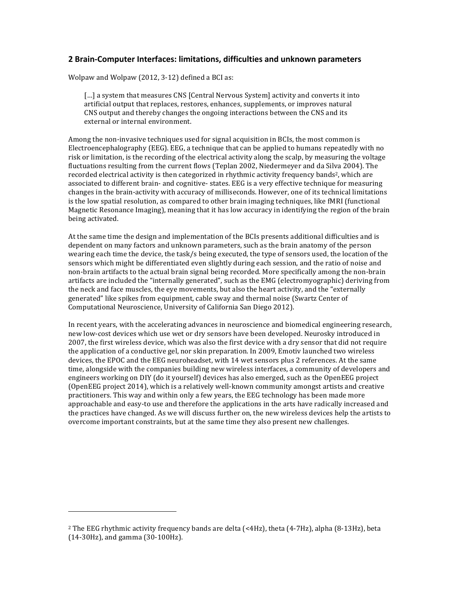# **2 Brain-Computer Interfaces: limitations, difficulties and unknown parameters**

Wolpaw and Wolpaw  $(2012, 3-12)$  defined a BCI as:

[...] a system that measures CNS [Central Nervous System] activity and converts it into artificial output that replaces, restores, enhances, supplements, or improves natural CNS output and thereby changes the ongoing interactions between the CNS and its external or internal environment.

Among the non-invasive techniques used for signal acquisition in BCIs, the most common is Electroencephalography (EEG). EEG, a technique that can be applied to humans repeatedly with no risk or limitation, is the recording of the electrical activity along the scalp, by measuring the voltage fluctuations resulting from the current flows (Teplan 2002, Niedermeyer and da Silva 2004). The recorded electrical activity is then categorized in rhythmic activity frequency bands<sup>2</sup>, which are associated to different brain- and cognitive- states. EEG is a very effective technique for measuring changes in the brain-activity with accuracy of milliseconds. However, one of its technical limitations is the low spatial resolution, as compared to other brain imaging techniques, like fMRI (functional Magnetic Resonance Imaging), meaning that it has low accuracy in identifying the region of the brain being activated.

At the same time the design and implementation of the BCIs presents additional difficulties and is dependent on many factors and unknown parameters, such as the brain anatomy of the person wearing each time the device, the task/s being executed, the type of sensors used, the location of the sensors which might be differentiated even slightly during each session, and the ratio of noise and non-brain artifacts to the actual brain signal being recorded. More specifically among the non-brain artifacts are included the "internally generated", such as the EMG (electromyographic) deriving from the neck and face muscles, the eye movements, but also the heart activity, and the "externally generated" like spikes from equipment, cable sway and thermal noise (Swartz Center of Computational Neuroscience, University of California San Diego 2012).

In recent years, with the accelerating advances in neuroscience and biomedical engineering research, new low-cost devices which use wet or dry sensors have been developed. Neurosky introduced in 2007, the first wireless device, which was also the first device with a dry sensor that did not require the application of a conductive gel, nor skin preparation. In 2009, Emotiv launched two wireless devices, the EPOC and the EEG neuroheadset, with 14 wet sensors plus 2 references. At the same time, alongside with the companies building new wireless interfaces, a community of developers and engineers working on DIY (do it yourself) devices has also emerged, such as the OpenEEG project (OpenEEG project 2014), which is a relatively well-known community amongst artists and creative practitioners. This way and within only a few years, the EEG technology has been made more approachable and easy-to use and therefore the applications in the arts have radically increased and the practices have changed. As we will discuss further on, the new wireless devices help the artists to overcome important constraints, but at the same time they also present new challenges.

 

<sup>&</sup>lt;sup>2</sup> The EEG rhythmic activity frequency bands are delta (<4Hz), theta (4-7Hz), alpha (8-13Hz), beta  $(14-30Hz)$ , and gamma  $(30-100Hz)$ .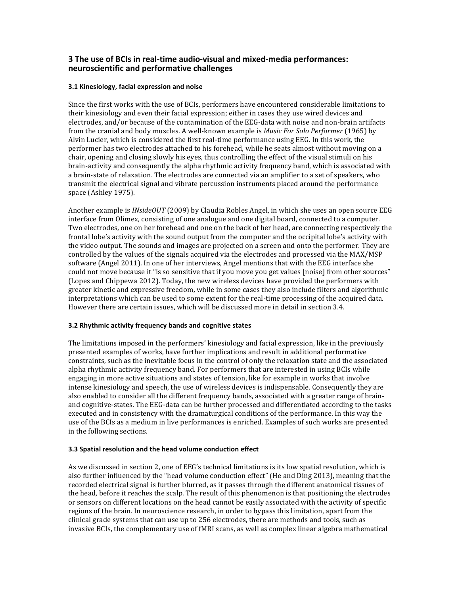# **3** The use of BCIs in real-time audio-visual and mixed-media performances: **neuroscientific and performative challenges**

## **3.1 Kinesiology, facial expression and noise**

Since the first works with the use of BCIs, performers have encountered considerable limitations to their kinesiology and even their facial expression; either in cases they use wired devices and electrodes, and/or because of the contamination of the EEG-data with noise and non-brain artifacts from the cranial and body muscles. A well-known example is *Music For Solo Performer* (1965) by Alvin Lucier, which is considered the first real-time performance using EEG. In this work, the performer has two electrodes attached to his forehead, while he seats almost without moving on a chair, opening and closing slowly his eyes, thus controlling the effect of the visual stimuli on his brain-activity and consequently the alpha rhythmic activity frequency band, which is associated with a brain-state of relaxation. The electrodes are connected via an amplifier to a set of speakers, who transmit the electrical signal and vibrate percussion instruments placed around the performance space (Ashley 1975).

Another example is *INsideOUT* (2009) by Claudia Robles Angel, in which she uses an open source EEG interface from Olimex, consisting of one analogue and one digital board, connected to a computer. Two electrodes, one on her forehead and one on the back of her head, are connecting respectively the frontal lobe's activity with the sound output from the computer and the occipital lobe's activity with the video output. The sounds and images are projected on a screen and onto the performer. They are controlled by the values of the signals acquired via the electrodes and processed via the MAX/MSP software (Angel 2011). In one of her interviews, Angel mentions that with the EEG interface she could not move because it "is so sensitive that if you move you get values [noise] from other sources" (Lopes and Chippewa 2012). Today, the new wireless devices have provided the performers with greater kinetic and expressive freedom, while in some cases they also include filters and algorithmic interpretations which can be used to some extent for the real-time processing of the acquired data. However there are certain issues, which will be discussed more in detail in section 3.4.

## **3.2 Rhythmic activity frequency bands and cognitive states**

The limitations imposed in the performers' kinesiology and facial expression, like in the previously presented examples of works, have further implications and result in additional performative constraints, such as the inevitable focus in the control of only the relaxation state and the associated alpha rhythmic activity frequency band. For performers that are interested in using BCIs while engaging in more active situations and states of tension, like for example in works that involve intense kinesiology and speech, the use of wireless devices is indispensable. Consequently they are also enabled to consider all the different frequency bands, associated with a greater range of brainand cognitive-states. The EEG-data can be further processed and differentiated according to the tasks executed and in consistency with the dramaturgical conditions of the performance. In this way the use of the BCIs as a medium in live performances is enriched. Examples of such works are presented in the following sections.

#### **3.3** Spatial resolution and the head volume conduction effect

As we discussed in section 2, one of EEG's technical limitations is its low spatial resolution, which is also further influenced by the "head volume conduction effect" (He and Ding 2013), meaning that the recorded electrical signal is further blurred, as it passes through the different anatomical tissues of the head, before it reaches the scalp. The result of this phenomenon is that positioning the electrodes or sensors on different locations on the head cannot be easily associated with the activity of specific regions of the brain. In neuroscience research, in order to bypass this limitation, apart from the clinical grade systems that can use up to 256 electrodes, there are methods and tools, such as invasive BCIs, the complementary use of fMRI scans, as well as complex linear algebra mathematical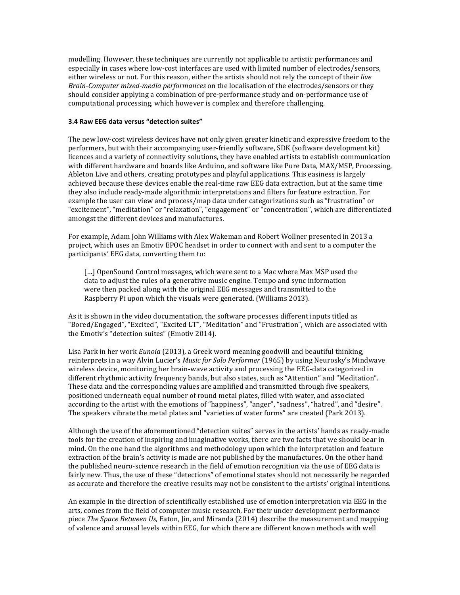modelling. However, these techniques are currently not applicable to artistic performances and especially in cases where low-cost interfaces are used with limited number of electrodes/sensors, either wireless or not. For this reason, either the artists should not rely the concept of their *live Brain-Computer mixed-media performances* on the localisation of the electrodes/sensors or they should consider applying a combination of pre-performance study and on-performance use of computational processing, which however is complex and therefore challenging.

#### **3.4 Raw EEG data versus "detection suites"**

The new low-cost wireless devices have not only given greater kinetic and expressive freedom to the performers, but with their accompanying user-friendly software, SDK (software development kit) licences and a variety of connectivity solutions, they have enabled artists to establish communication with different hardware and boards like Arduino, and software like Pure Data, MAX/MSP, Processing, Ableton Live and others, creating prototypes and playful applications. This easiness is largely achieved because these devices enable the real-time raw EEG data extraction, but at the same time they also include ready-made algorithmic interpretations and filters for feature extraction. For example the user can view and process/map data under categorizations such as "frustration" or "excitement", "meditation" or "relaxation", "engagement" or "concentration", which are differentiated amongst the different devices and manufactures.

For example, Adam John Williams with Alex Wakeman and Robert Wollner presented in 2013 a project, which uses an Emotiv EPOC headset in order to connect with and sent to a computer the participants' EEG data, converting them to:

[...] OpenSound Control messages, which were sent to a Mac where Max MSP used the data to adjust the rules of a generative music engine. Tempo and sync information were then packed along with the original EEG messages and transmitted to the Raspberry Pi upon which the visuals were generated. (Williams 2013).

As it is shown in the video documentation, the software processes different inputs titled as "Bored/Engaged", "Excited", "Excited LT", "Meditation" and "Frustration", which are associated with the Emotiv's "detection suites" (Emotiv 2014).

Lisa Park in her work *Eunoia* (2013), a Greek word meaning goodwill and beautiful thinking, reinterprets in a way Alvin Lucier's *Music for Solo Performer* (1965) by using Neurosky's Mindwave wireless device, monitoring her brain-wave activity and processing the EEG-data categorized in different rhythmic activity frequency bands, but also states, such as "Attention" and "Meditation". These data and the corresponding values are amplified and transmitted through five speakers, positioned underneath equal number of round metal plates, filled with water, and associated according to the artist with the emotions of "happiness", "anger", "sadness", "hatred", and "desire". The speakers vibrate the metal plates and "varieties of water forms" are created (Park 2013).

Although the use of the aforementioned "detection suites" serves in the artists' hands as ready-made tools for the creation of inspiring and imaginative works, there are two facts that we should bear in mind. On the one hand the algorithms and methodology upon which the interpretation and feature extraction of the brain's activity is made are not published by the manufactures. On the other hand the published neuro-science research in the field of emotion recognition via the use of EEG data is fairly new. Thus, the use of these "detections" of emotional states should not necessarily be regarded as accurate and therefore the creative results may not be consistent to the artists' original intentions.

An example in the direction of scientifically established use of emotion interpretation via EEG in the arts, comes from the field of computer music research. For their under development performance piece *The Space Between Us*, Eaton, Jin, and Miranda (2014) describe the measurement and mapping of valence and arousal levels within EEG, for which there are different known methods with well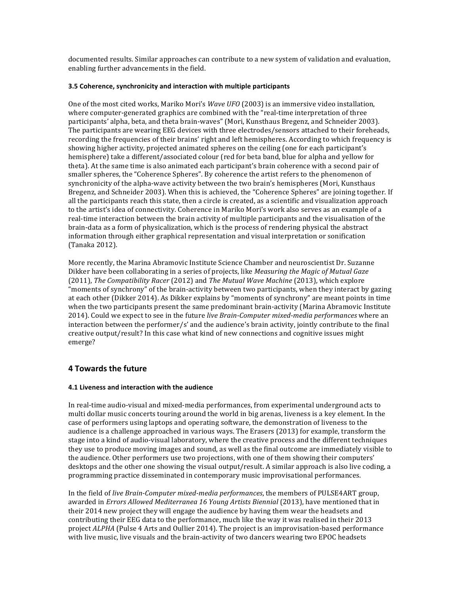documented results. Similar approaches can contribute to a new system of validation and evaluation, enabling further advancements in the field.

#### **3.5 Coherence, synchronicity and interaction with multiple participants**

One of the most cited works, Mariko Mori's *Wave UFO* (2003) is an immersive video installation, where computer-generated graphics are combined with the "real-time interpretation of three participants' alpha, beta, and theta brain-waves" (Mori, Kunsthaus Bregenz, and Schneider 2003). The participants are wearing EEG devices with three electrodes/sensors attached to their foreheads, recording the frequencies of their brains' right and left hemispheres. According to which frequency is showing higher activity, projected animated spheres on the ceiling (one for each participant's hemisphere) take a different/associated colour (red for beta band, blue for alpha and yellow for theta). At the same time is also animated each participant's brain coherence with a second pair of smaller spheres, the "Coherence Spheres". By coherence the artist refers to the phenomenon of synchronicity of the alpha-wave activity between the two brain's hemispheres (Mori, Kunsthaus Bregenz, and Schneider 2003). When this is achieved, the "Coherence Spheres" are joining together. If all the participants reach this state, then a circle is created, as a scientific and visualization approach to the artist's idea of connectivity. Coherence in Mariko Mori's work also serves as an example of a real-time interaction between the brain activity of multiple participants and the visualisation of the brain-data as a form of physicalization, which is the process of rendering physical the abstract information through either graphical representation and visual interpretation or sonification (Tanaka 2012).

More recently, the Marina Abramovic Institute Science Chamber and neuroscientist Dr. Suzanne Dikker have been collaborating in a series of projects, like *Measuring the Magic of Mutual Gaze* (2011), *The Compatibility Racer* (2012) and *The Mutual Wave Machine* (2013), which explore "moments of synchrony" of the brain-activity between two participants, when they interact by gazing at each other (Dikker 2014). As Dikker explains by "moments of synchrony" are meant points in time when the two participants present the same predominant brain-activity (Marina Abramovic Institute 2014). Could we expect to see in the future *live Brain-Computer mixed-media performances* where an interaction between the performer/s' and the audience's brain activity, jointly contribute to the final creative output/result? In this case what kind of new connections and cognitive issues might emerge?

# **4 Towards the future**

## **4.1 Liveness and interaction with the audience**

In real-time audio-visual and mixed-media performances, from experimental underground acts to multi dollar music concerts touring around the world in big arenas, liveness is a key element. In the case of performers using laptops and operating software, the demonstration of liveness to the audience is a challenge approached in various ways. The Erasers (2013) for example, transform the stage into a kind of audio-visual laboratory, where the creative process and the different techniques they use to produce moving images and sound, as well as the final outcome are immediately visible to the audience. Other performers use two projections, with one of them showing their computers' desktops and the other one showing the visual output/result. A similar approach is also live coding, a programming practice disseminated in contemporary music improvisational performances.

In the field of *live Brain-Computer mixed-media performances*, the members of PULSE4ART group, awarded in *Errors Allowed Mediterranea 16 Young Artists Biennial* (2013), have mentioned that in their 2014 new project they will engage the audience by having them wear the headsets and contributing their EEG data to the performance, much like the way it was realised in their 2013 project *ALPHA* (Pulse 4 Arts and Oullier 2014). The project is an improvisation-based performance with live music, live visuals and the brain-activity of two dancers wearing two EPOC headsets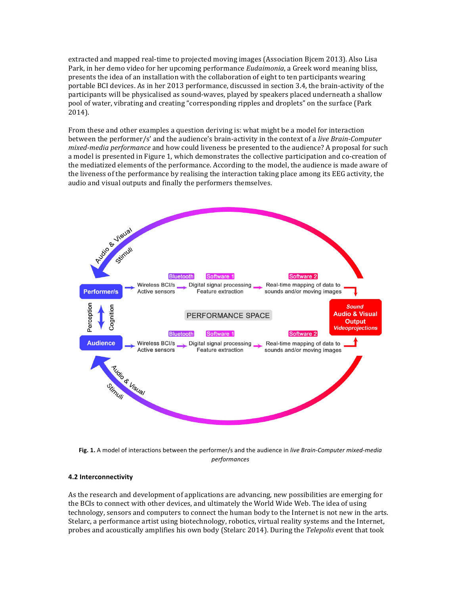extracted and mapped real-time to projected moving images (Association Bjcem 2013). Also Lisa Park, in her demo video for her upcoming performance *Eudaimonia*, a Greek word meaning bliss, presents the idea of an installation with the collaboration of eight to ten participants wearing portable BCI devices. As in her 2013 performance, discussed in section 3.4, the brain-activity of the participants will be physicalised as sound-waves, played by speakers placed underneath a shallow pool of water, vibrating and creating "corresponding ripples and droplets" on the surface (Park 2014).

From these and other examples a question deriving is: what might be a model for interaction between the performer/s' and the audience's brain-activity in the context of a *live Brain-Computer mixed-media performance* and how could liveness be presented to the audience? A proposal for such a model is presented in Figure 1, which demonstrates the collective participation and co-creation of the mediatized elements of the performance. According to the model, the audience is made aware of the liveness of the performance by realising the interaction taking place among its EEG activity, the audio and visual outputs and finally the performers themselves.



Fig. 1. A model of interactions between the performer/s and the audience in live Brain-Computer mixed-media *performances*

#### **4.2 Interconnectivity**

As the research and development of applications are advancing, new possibilities are emerging for the BCIs to connect with other devices, and ultimately the World Wide Web. The idea of using technology, sensors and computers to connect the human body to the Internet is not new in the arts. Stelarc, a performance artist using biotechnology, robotics, virtual reality systems and the Internet, probes and acoustically amplifies his own body (Stelarc 2014). During the *Telepolis* event that took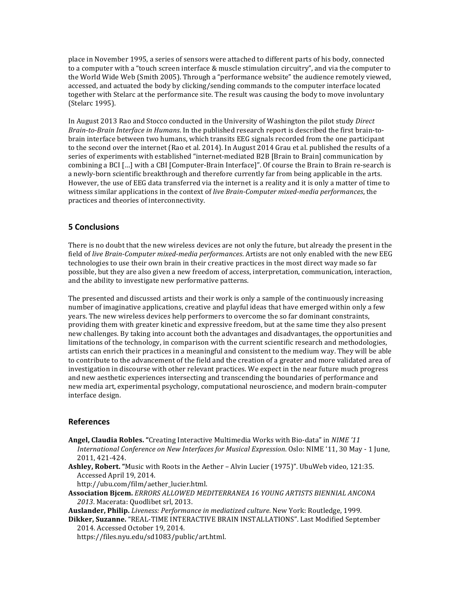place in November 1995, a series of sensors were attached to different parts of his body, connected to a computer with a "touch screen interface & muscle stimulation circuitry", and via the computer to the World Wide Web (Smith 2005). Through a "performance website" the audience remotely viewed, accessed, and actuated the body by clicking/sending commands to the computer interface located together with Stelarc at the performance site. The result was causing the body to move involuntary (Stelarc 1995).

In August 2013 Rao and Stocco conducted in the University of Washington the pilot study *Direct Brain-to-Brain Interface in Humans*. In the published research report is described the first brain-tobrain interface between two humans, which transits EEG signals recorded from the one participant to the second over the internet (Rao et al. 2014). In August 2014 Grau et al. published the results of a series of experiments with established "internet-mediated B2B [Brain to Brain] communication by combining a BCI [...] with a CBI [Computer-Brain Interface]". Of course the Brain to Brain re-search is a newly-born scientific breakthrough and therefore currently far from being applicable in the arts. However, the use of EEG data transferred via the internet is a reality and it is only a matter of time to witness similar applications in the context of *live Brain-Computer mixed-media performances*, the practices and theories of interconnectivity.

## **5 Conclusions**

There is no doubt that the new wireless devices are not only the future, but already the present in the field of *live Brain-Computer mixed-media performances*. Artists are not only enabled with the new EEG technologies to use their own brain in their creative practices in the most direct way made so far possible, but they are also given a new freedom of access, interpretation, communication, interaction, and the ability to investigate new performative patterns.

The presented and discussed artists and their work is only a sample of the continuously increasing number of imaginative applications, creative and playful ideas that have emerged within only a few years. The new wireless devices help performers to overcome the so far dominant constraints, providing them with greater kinetic and expressive freedom, but at the same time they also present new challenges. By taking into account both the advantages and disadvantages, the opportunities and limitations of the technology, in comparison with the current scientific research and methodologies, artists can enrich their practices in a meaningful and consistent to the medium way. They will be able to contribute to the advancement of the field and the creation of a greater and more validated area of investigation in discourse with other relevant practices. We expect in the near future much progress and new aesthetic experiences intersecting and transcending the boundaries of performance and new media art, experimental psychology, computational neuroscience, and modern brain-computer interface design.

#### **References**

- **Angel, Claudia Robles.** "Creating Interactive Multimedia Works with Bio-data" in *NIME* '11 *International Conference on New Interfaces for Musical Expression*. Oslo: NIME '11, 30 May - 1 June, 2011, 421-424.
- Ashley, Robert. "Music with Roots in the Aether Alvin Lucier (1975)". UbuWeb video, 121:35. Accessed April 19, 2014.

http://ubu.com/film/aether\_lucier.html.

**Association Bjcem.** *ERRORS ALLOWED MEDITERRANEA 16 YOUNG ARTISTS BIENNIAL ANCONA*  2013. Macerata: Ouodlibet srl. 2013.

Auslander, Philip. *Liveness: Performance in mediatized culture*. New York: Routledge, 1999.

Dikker, Suzanne. "REAL-TIME INTERACTIVE BRAIN INSTALLATIONS". Last Modified September 2014. Accessed October 19, 2014.

https://files.nyu.edu/sd1083/public/art.html.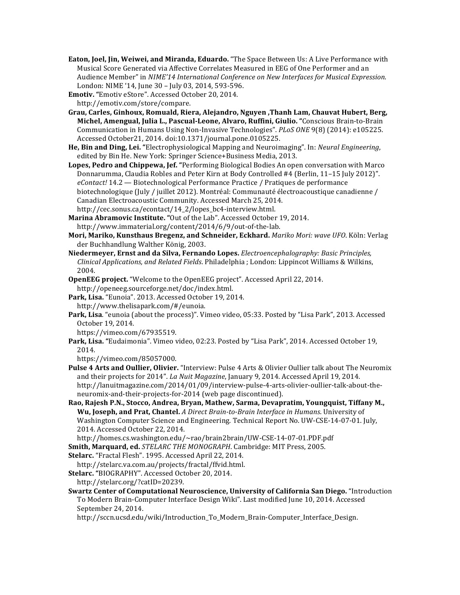**Eaton, Joel, Jin, Weiwei, and Miranda, Eduardo.** "The Space Between Us: A Live Performance with Musical Score Generated via Affective Correlates Measured in EEG of One Performer and an Audience Member" in *NIME'14 International Conference on New Interfaces for Musical Expression.* London: NIME '14, June 30 - July 03, 2014, 593-596.

**Emotiv.** "Emotiv eStore". Accessed October 20, 2014.

http://emotiv.com/store/compare.

**Grau, Carles, Ginhoux, Romuald, Riera, Alejandro, Nguyen ,Thanh Lam, Chauvat Hubert, Berg, Michel, Amengual, Julia L., Pascual-Leone, Alvaro, Ruffini, Giulio. "Conscious Brain-to-Brain** Communication in Humans Using Non-Invasive Technologies". *PLoS ONE* 9(8) (2014): e105225. Accessed October21, 2014. doi:10.1371/journal.pone.0105225.

**He, Bin and Ding, Lei.** "Electrophysiological Mapping and Neuroimaging". In: *Neural Engineering*, edited by Bin He. New York: Springer Science+Business Media, 2013.

Lopes, Pedro and Chippewa, Jef. "Performing Biological Bodies An open conversation with Marco Donnarumma, Claudia Robles and Peter Kirn at Body Controlled #4 (Berlin, 11-15 July 2012)". *eContact!* 14.2 — Biotechnological Performance Practice / Pratiques de performance biotechnologique (July / juillet 2012). Montréal: Communauté électroacoustique canadienne / Canadian Electroacoustic Community. Accessed March 25, 2014. http://cec.sonus.ca/econtact/14\_2/lopes\_bc4-interview.html.

**Marina Abramovic Institute. "Out of the Lab". Accessed October 19, 2014.** http://www.immaterial.org/content/2014/6/9/out-of-the-lab.

Mori, Mariko, Kunsthaus Bregenz, and Schneider, Eckhard. *Mariko Mori: wave UFO*. Köln: Verlag der Buchhandlung Walther König, 2003.

Niedermeyer, Ernst and da Silva, Fernando Lopes. *Electroencephalography: Basic Principles*, *Clinical Applications, and Related Fields.* Philadelphia ; London: Lippincot Williams & Wilkins, 2004.

**OpenEEG** project. "Welcome to the OpenEEG project". Accessed April 22, 2014. http://openeeg.sourceforge.net/doc/index.html.

Park, Lisa. "Eunoia". 2013. Accessed October 19, 2014. http://www.thelisapark.com/#/eunoia.

Park, Lisa. "eunoia (about the process)". Vimeo video, 05:33. Posted by "Lisa Park", 2013. Accessed October 19, 2014.

https://vimeo.com/67935519.

Park, Lisa. "Eudaimonia". Vimeo video, 02:23. Posted by "Lisa Park", 2014. Accessed October 19, 2014.

https://vimeo.com/85057000.

**Pulse 4 Arts and Oullier, Olivier.** "Interview: Pulse 4 Arts & Olivier Oullier talk about The Neuromix and their projects for 2014". *La Nuit Magazine*, January 9, 2014. Accessed April 19, 2014. http://lanuitmagazine.com/2014/01/09/interview-pulse-4-arts-olivier-oullier-talk-about-theneuromix-and-their-projects-for-2014 (web page discontinued).

Rao, Rajesh P.N., Stocco, Andrea, Bryan, Mathew, Sarma, Devapratim, Youngquist, Tiffany M., **Wu, Joseph, and Prat, Chantel.** *A Direct Brain-to-Brain Interface in Humans*. University of Washington Computer Science and Engineering. Technical Report No. UW-CSE-14-07-01. July, 2014. Accessed October 22, 2014.

http://homes.cs.washington.edu/~rao/brain2brain/UW-CSE-14-07-01.PDF.pdf

**Smith, Marquard, ed.** *STELARC THE MONOGRAPH*. Cambridge: MIT Press, 2005.

**Stelarc.** "Fractal Flesh". 1995. Accessed April 22, 2014.

http://stelarc.va.com.au/projects/fractal/ffvid.html.

Stelarc. "BIOGRAPHY". Accessed October 20, 2014. http://stelarc.org/?catID=20239.

**Swartz Center of Computational Neuroscience, University of California San Diego.** "Introduction To Modern Brain-Computer Interface Design Wiki". Last modified June 10, 2014. Accessed September 24, 2014.

http://sccn.ucsd.edu/wiki/Introduction\_To\_Modern\_Brain-Computer\_Interface\_Design.